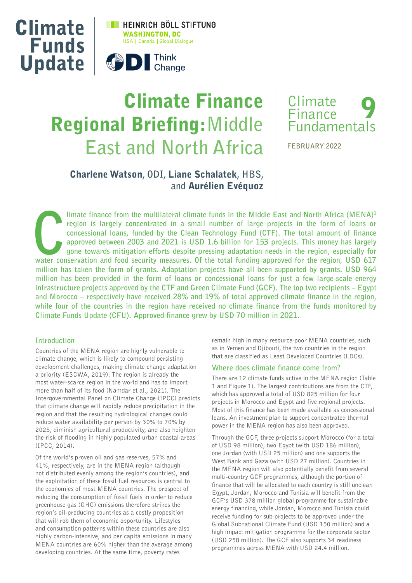

# Climate Finance Regional Briefing:**Middle East and North Africa**



**FEBRUARY 2022**

# Charlene Watson**, ODI,** Liane Schalatek**, HBS, and** Aurélien Evéquoz

Imate finance from the multilateral climate funds in the Middle East and North Africa (MENA)<sup>1</sup> region is largely concentrated in a small number of large projects in the form of loans or concessional loans, funded by the C **limate finance from the multilateral climate funds in the Middle East and North Africa (MENA)1 region is largely concentrated in a small number of large projects in the form of loans or concessional loans, funded by the Clean Technology Fund (CTF). The total amount of finance approved between 2003 and 2021 is USD 1.6 billion for 153 projects. This money has largely gone towards mitigation efforts despite pressing adaptation needs in the region, especially for million has taken the form of grants. Adaptation projects have all been supported by grants. USD 964 million has been provided in the form of loans or concessional loans for just a few large-scale energy infrastructure projects approved by the CTF and Green Climate Fund (GCF). The top two recipients – Egypt and Morocco – respectively have received 28% and 19% of total approved climate finance in the region, while four of the countries in the region have received no climate finance from the funds monitored by Climate Funds Update (CFU). Approved finance grew by USD 70 million in 2021.**

## **Introduction**

Countries of the MENA region are highly vulnerable to climate change, which is likely to compound persisting development challenges, making climate change adaptation a priority (ESCWA, 2019). The region is already the most water-scarce region in the world and has to import more than half of its food (Namdar et al., 2021). The Intergovernmental Panel on Climate Change (IPCC) predicts that climate change will rapidly reduce precipitation in the region and that the resulting hydrological changes could reduce water availability per person by 30% to 70% by 2025, diminish agricultural productivity, and also heighten the risk of flooding in highly populated urban coastal areas (IPCC, 2014).

Of the world's proven oil and gas reserves, 57% and 41%, respectively, are in the MENA region (although not distributed evenly among the region's countries), and the exploitation of these fossil fuel resources is central to the economies of most MENA countries. The prospect of reducing the consumption of fossil fuels in order to reduce greenhouse gas (GHG) emissions therefore strikes the region's oil-producing countries as a costly proposition that will rob them of economic opportunity. Lifestyles and consumption patterns within these countries are also highly carbon-intensive, and per capita emissions in many MENA countries are 60% higher than the average among developing countries. At the same time, poverty rates

remain high in many resource-poor MENA countries, such as in Yemen and Djibouti, the two countries in the region that are classified as Least Developed Countries (LDCs).

#### **Where does climate finance come from?**

There are 12 climate funds active in the MENA region (Table 1 and Figure 1). The largest contributions are from the CTF, which has approved a total of USD 825 million for four projects in Morocco and Egypt and five regional projects. Most of this finance has been made available as concessional loans. An investment plan to support concentrated thermal power in the MENA region has also been approved.

Through the GCF, three projects support Morocco (for a total of USD 98 million), two Egypt (with USD 186 million), one Jordan (with USD 25 million) and one supports the West Bank and Gaza (with USD 27 million). Countries in the MENA region will also potentially benefit from several multi-country GCF programmes, although the portion of finance that will be allocated to each country is still unclear. Egypt, Jordan, Morocco and Tunisia will benefit from the GCF's USD 378 million global programme for sustainable energy financing, while Jordan, Morocco and Tunisia could receive funding for sub-projects to be approved under the Global Subnational Climate Fund (USD 150 million) and a high impact mitigation programme for the corporate sector (USD 258 million). The GCF also supports 34 readiness programmes across MENA with USD 24.4 million.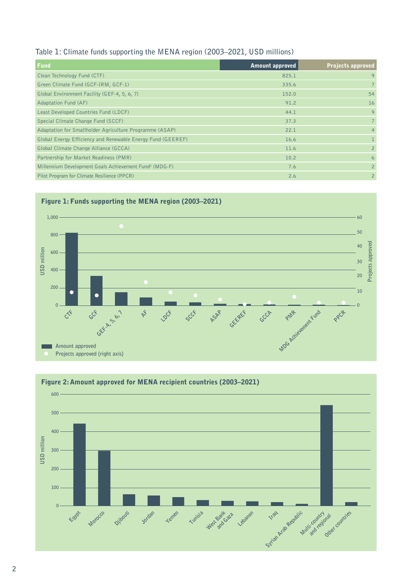## **Table 1: Climate funds supporting the MENA region (2003–2021, USD millions)**

| Fund                                                               | <b>Amount approved</b> | <b>Projects approved</b> |
|--------------------------------------------------------------------|------------------------|--------------------------|
| Clean Technology Fund (CTF)                                        | 825.1                  | 9                        |
| Green Climate Fund (GCF-IRM, GCF-1)                                | 335.6                  | $\overline{7}$           |
| Global Environment Facility (GEF-4, 5, 6, 7)                       | 152.0                  | 54                       |
| <b>Adaptation Fund (AF)</b>                                        | 91.2                   | 16                       |
| Least Developed Countries Fund (LDCF)                              | 44.1                   | $\mathsf{Q}$             |
| Special Climate Change Fund (SCCF)                                 | 37.3                   | $\overline{7}$           |
| Adaptation for Smallholder Agriculture Programme (ASAP)            | 22.1                   | $\overline{4}$           |
| Global Energy Efficiency and Renewable Energy Fund (GEEREF)        | 16.6                   |                          |
| Global Climate Change Alliance (GCCA)                              | 11.6                   | $\overline{2}$           |
| Partnership for Market Readiness (PMR)                             | 10.2                   | 6                        |
| Millennium Development Goals Achievement Fund <sup>2</sup> (MDG-F) | 7.6                    | $\overline{2}$           |
| Pilot Program for Climate Resilience (PPCR)                        | 2.6                    | $\overline{2}$           |





## Figure 2: Amount approved for MENA recipient countries (2003–2021)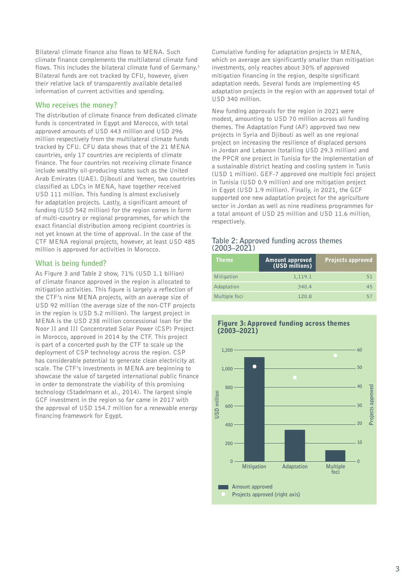Bilateral climate finance also flows to MENA. Such climate finance complements the multilateral climate fund flows. This includes the bilateral climate fund of Germany.<sup>3</sup> Bilateral funds are not tracked by CFU, however, given their relative lack of transparently available detailed information of current activities and spending.

## **Who receives the money?**

The distribution of climate finance from dedicated climate funds is concentrated in Egypt and Morocco, with total approved amounts of USD 443 million and USD 296 million respectively from the multilateral climate funds tracked by CFU. CFU data shows that of the 21 MENA countries, only 17 countries are recipients of climate finance. The four countries not receiving climate finance include wealthy oil-producing states such as the United Arab Emirates (UAE). Djibouti and Yemen, two countries classified as LDCs in MENA, have together received USD 111 million. This funding is almost exclusively for adaptation projects. Lastly, a significant amount of funding (USD 542 million) for the region comes in form of multi-country or regional programmes, for which the exact financial distribution among recipient countries is not yet known at the time of approval. In the case of the CTF MENA regional projects, however, at least USD 485 million is approved for activities in Morocco.

## **What is being funded?**

As Figure 3 and Table 2 show, 71% (USD 1.1 billion) of climate finance approved in the region is allocated to mitigation activities. This figure is largely a reflection of the CTF's nine MENA projects, with an average size of USD 92 million (the average size of the non-CTF projects in the region is USD 5.2 million). The largest project in MENA is the USD 238 million concessional loan for the Noor II and III Concentrated Solar Power (CSP) Project in Morocco, approved in 2014 by the CTF. This project is part of a concerted push by the CTF to scale up the deployment of CSP technology across the region. CSP has considerable potential to generate clean electricity at scale. The CTF's investments in MENA are beginning to showcase the value of targeted international public finance in order to demonstrate the viability of this promising technology (Stadelmann et al., 2014). The largest single GCF investment in the region so far came in 2017 with the approval of USD 154.7 million for a renewable energy financing framework for Egypt.

Cumulative funding for adaptation projects in MENA, which on average are significantly smaller than mitigation investments, only reaches about 30% of approved mitigation financing in the region, despite significant adaptation needs. Several funds are implementing 45 adaptation projects in the region with an approved total of USD 340 million.

New funding approvals for the region in 2021 were modest, amounting to USD 70 million across all funding themes. The Adaptation Fund (AF) approved two new projects in Syria and Djibouti as well as one regional project on increasing the resilience of displaced persons in Jordan and Lebanon (totalling USD 29.3 million) and the PPCR one project in Tunisia for the implementation of a sustainable district heating and cooling system in Tunis (USD 1 million). GEF-7 approved one multiple foci project in Tunisia (USD 0.9 million) and one mitigation project in Egypt (USD 1.9 million). Finally, in 2021, the GCF supported one new adaptation project for the agriculture sector in Jordan as well as nine readiness programmes for a total amount of USD 25 million and USD 11.6 million, respectively.

## **Table 2: Approved funding across themes (2003–2021)**

| <b>Theme</b>  | <b>Amount approved</b><br>(USD millions) | Projects approved |
|---------------|------------------------------------------|-------------------|
| Mitigation    | 1,119.1                                  | 51                |
| Adaptation    | 340.4                                    | 45                |
| Multiple foci | 120.8                                    | 5.                |



# Figure 3: Approved funding across themes (2003–2021)